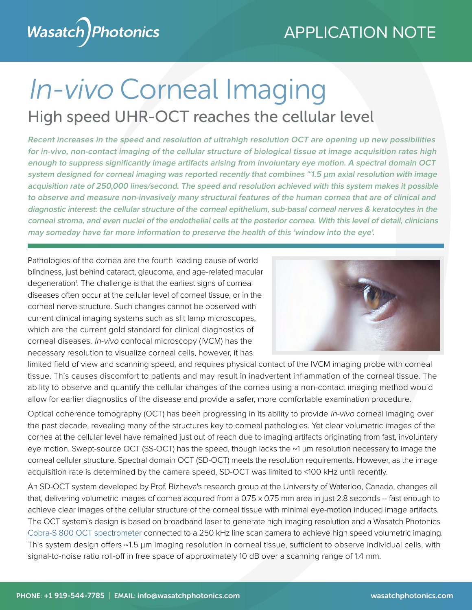

# In-vivo Corneal Imaging High speed UHR-OCT reaches the cellular level

**Recent increases in the speed and resolution of ultrahigh resolution OCT are opening up new possibilities for in-vivo, non-contact imaging of the cellular structure of biological tissue at image acquisition rates high enough to suppress significantly image artifacts arising from involuntary eye motion. A spectral domain OCT system designed for corneal imaging was reported recently that combines ~1.5 µm axial resolution with image acquisition rate of 250,000 lines/second. The speed and resolution achieved with this system makes it possible to observe and measure non-invasively many structural features of the human cornea that are of clinical and diagnostic interest: the cellular structure of the corneal epithelium, sub-basal corneal nerves & keratocytes in the corneal stroma, and even nuclei of the endothelial cells at the posterior cornea. With this level of detail, clinicians may someday have far more information to preserve the health of this 'window into the eye'.**

Pathologies of the cornea are the fourth leading cause of world blindness, just behind cataract, glaucoma, and age-related macular degeneration<sup>1</sup>. The challenge is that the earliest signs of corneal diseases often occur at the cellular level of corneal tissue, or in the corneal nerve structure. Such changes cannot be observed with current clinical imaging systems such as slit lamp microscopes, which are the current gold standard for clinical diagnostics of corneal diseases. In-vivo confocal microscopy (IVCM) has the necessary resolution to visualize corneal cells, however, it has



limited field of view and scanning speed, and requires physical contact of the IVCM imaging probe with corneal tissue. This causes discomfort to patients and may result in inadvertent inflammation of the corneal tissue. The ability to observe and quantify the cellular changes of the cornea using a non-contact imaging method would allow for earlier diagnostics of the disease and provide a safer, more comfortable examination procedure.

Optical coherence tomography (OCT) has been progressing in its ability to provide in-vivo corneal imaging over the past decade, revealing many of the structures key to corneal pathologies. Yet clear volumetric images of the cornea at the cellular level have remained just out of reach due to imaging artifacts originating from fast, involuntary eye motion. Swept-source OCT (SS-OCT) has the speed, though lacks the ~1 µm resolution necessary to image the corneal cellular structure. Spectral domain OCT (SD-OCT) meets the resolution requirements. However, as the image acquisition rate is determined by the camera speed, SD-OCT was limited to <100 kHz until recently.

An SD-OCT system developed by Prof. Bizheva's research group at the University of Waterloo, Canada, changes all that, delivering volumetric images of cornea acquired from a 0.75 x 0.75 mm area in just 2.8 seconds -- fast enough to achieve clear images of the cellular structure of the corneal tissue with minimal eye-motion induced image artifacts. The OCT system's design is based on broadband laser to generate high imaging resolution and a Wasatch Photonics [Cobra-S 800 OCT spectrometer](https://wasatchphotonics.com/product-category/optical-coherence-tomography/cobra-s-800-oct-spectrometer/) connected to a 250 kHz line scan camera to achieve high speed volumetric imaging. This system design offers ~1.5 µm imaging resolution in corneal tissue, sufficient to observe individual cells, with signal-to-noise ratio roll-off in free space of approximately 10 dB over a scanning range of 1.4 mm.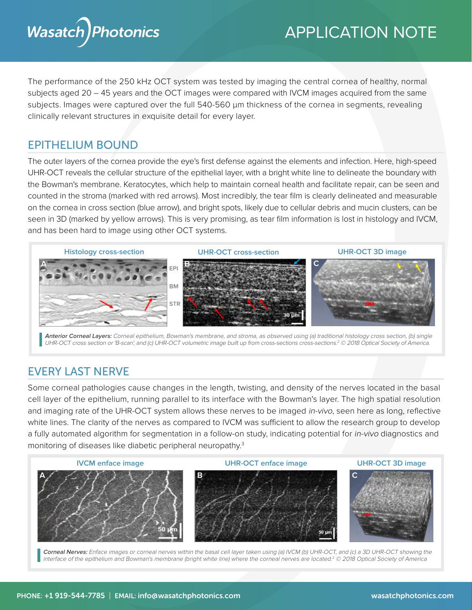

# APPLICATION NOTE

The performance of the 250 kHz OCT system was tested by imaging the central cornea of healthy, normal subjects aged 20 – 45 years and the OCT images were compared with IVCM images acquired from the same subjects. Images were captured over the full 540-560  $\mu$ m thickness of the cornea in segments, revealing clinically relevant structures in exquisite detail for every layer.

### EPITHELIUM BOUND

The outer layers of the cornea provide the eye's first defense against the elements and infection. Here, high-speed UHR-OCT reveals the cellular structure of the epithelial layer, with a bright white line to delineate the boundary with the Bowman's membrane. Keratocytes, which help to maintain corneal health and facilitate repair, can be seen and counted in the stroma (marked with red arrows). Most incredibly, the tear film is clearly delineated and measurable on the cornea in cross section (blue arrow), and bright spots, likely due to cellular debris and mucin clusters, can be seen in 3D (marked by yellow arrows). This is very promising, as tear film information is lost in histology and IVCM, and has been hard to image using other OCT systems.



**Anterior Corneal Layers:** Corneal epithelium, Bowman's membrane, and stroma, as observed using (a) traditional histology cross section, (b) single UHR-OCT cross section or 'B-scan', and (c) UHR-OCT volumetric image built up from cross-sections cross-sections.<sup>2</sup> © 2018 Optical Society of America.

## EVERY LAST NERVE

Some corneal pathologies cause changes in the length, twisting, and density of the nerves located in the basal cell layer of the epithelium, running parallel to its interface with the Bowman's layer. The high spatial resolution and imaging rate of the UHR-OCT system allows these nerves to be imaged in-vivo, seen here as long, reflective white lines. The clarity of the nerves as compared to IVCM was sufficient to allow the research group to develop a fully automated algorithm for segmentation in a follow-on study, indicating potential for *in-vivo* diagnostics and monitoring of diseases like diabetic peripheral neuropathy.<sup>3</sup>

**IVCM enface image UHR-OCT enface image UHR-OCT 3D image**



Corneal Nerves: Enface images or corneal nerves within the basal cell layer taken using (a) IVCM (b) UHR-OCT, and (c) a 3D UHR-OCT showing the interface of the epithelium and Bowman's membrane (bright white line) where the corneal nerves are located.<sup>2</sup> © 2018 Optical Society of America